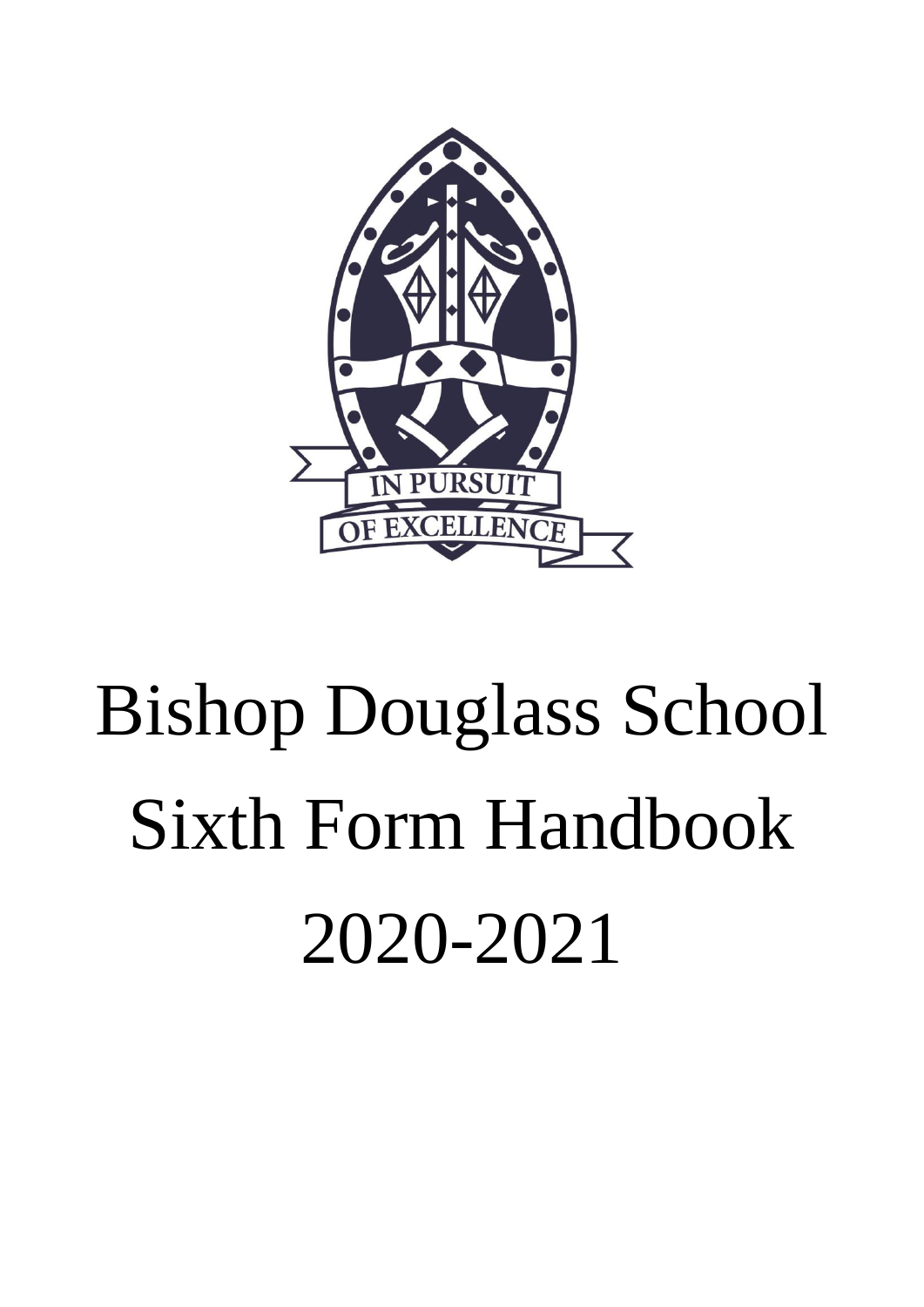

# Bishop Douglass School Sixth Form Handbook 2020-2021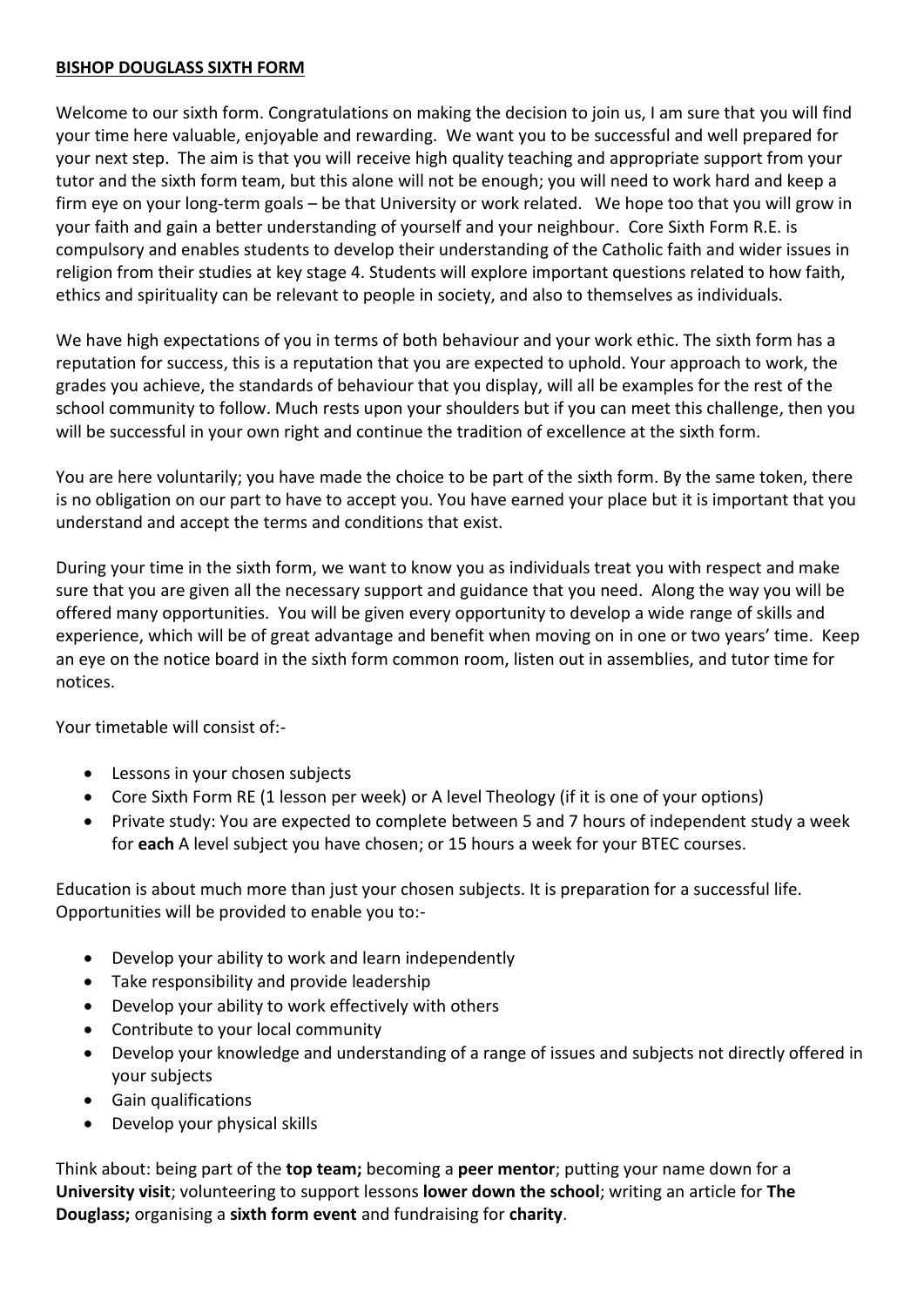# **BISHOP DOUGLASS SIXTH FORM**

Welcome to our sixth form. Congratulations on making the decision to join us, I am sure that you will find your time here valuable, enjoyable and rewarding. We want you to be successful and well prepared for your next step. The aim is that you will receive high quality teaching and appropriate support from your tutor and the sixth form team, but this alone will not be enough; you will need to work hard and keep a firm eye on your long-term goals – be that University or work related. We hope too that you will grow in your faith and gain a better understanding of yourself and your neighbour. Core Sixth Form R.E. is compulsory and enables students to develop their understanding of the Catholic faith and wider issues in religion from their studies at key stage 4. Students will explore important questions related to how faith, ethics and spirituality can be relevant to people in society, and also to themselves as individuals.

We have high expectations of you in terms of both behaviour and your work ethic. The sixth form has a reputation for success, this is a reputation that you are expected to uphold. Your approach to work, the grades you achieve, the standards of behaviour that you display, will all be examples for the rest of the school community to follow. Much rests upon your shoulders but if you can meet this challenge, then you will be successful in your own right and continue the tradition of excellence at the sixth form.

You are here voluntarily; you have made the choice to be part of the sixth form. By the same token, there is no obligation on our part to have to accept you. You have earned your place but it is important that you understand and accept the terms and conditions that exist.

During your time in the sixth form, we want to know you as individuals treat you with respect and make sure that you are given all the necessary support and guidance that you need. Along the way you will be offered many opportunities. You will be given every opportunity to develop a wide range of skills and experience, which will be of great advantage and benefit when moving on in one or two years' time. Keep an eye on the notice board in the sixth form common room, listen out in assemblies, and tutor time for notices.

Your timetable will consist of:-

- Lessons in your chosen subjects
- Core Sixth Form RE (1 lesson per week) or A level Theology (if it is one of your options)
- Private study: You are expected to complete between 5 and 7 hours of independent study a week for **each** A level subject you have chosen; or 15 hours a week for your BTEC courses.

Education is about much more than just your chosen subjects. It is preparation for a successful life. Opportunities will be provided to enable you to:-

- Develop your ability to work and learn independently
- Take responsibility and provide leadership
- Develop your ability to work effectively with others
- Contribute to your local community
- Develop your knowledge and understanding of a range of issues and subjects not directly offered in your subjects
- Gain qualifications
- Develop your physical skills

Think about: being part of the **top team;** becoming a **peer mentor**; putting your name down for a **University visit**; volunteering to support lessons **lower down the school**; writing an article for **The Douglass;** organising a **sixth form event** and fundraising for **charity**.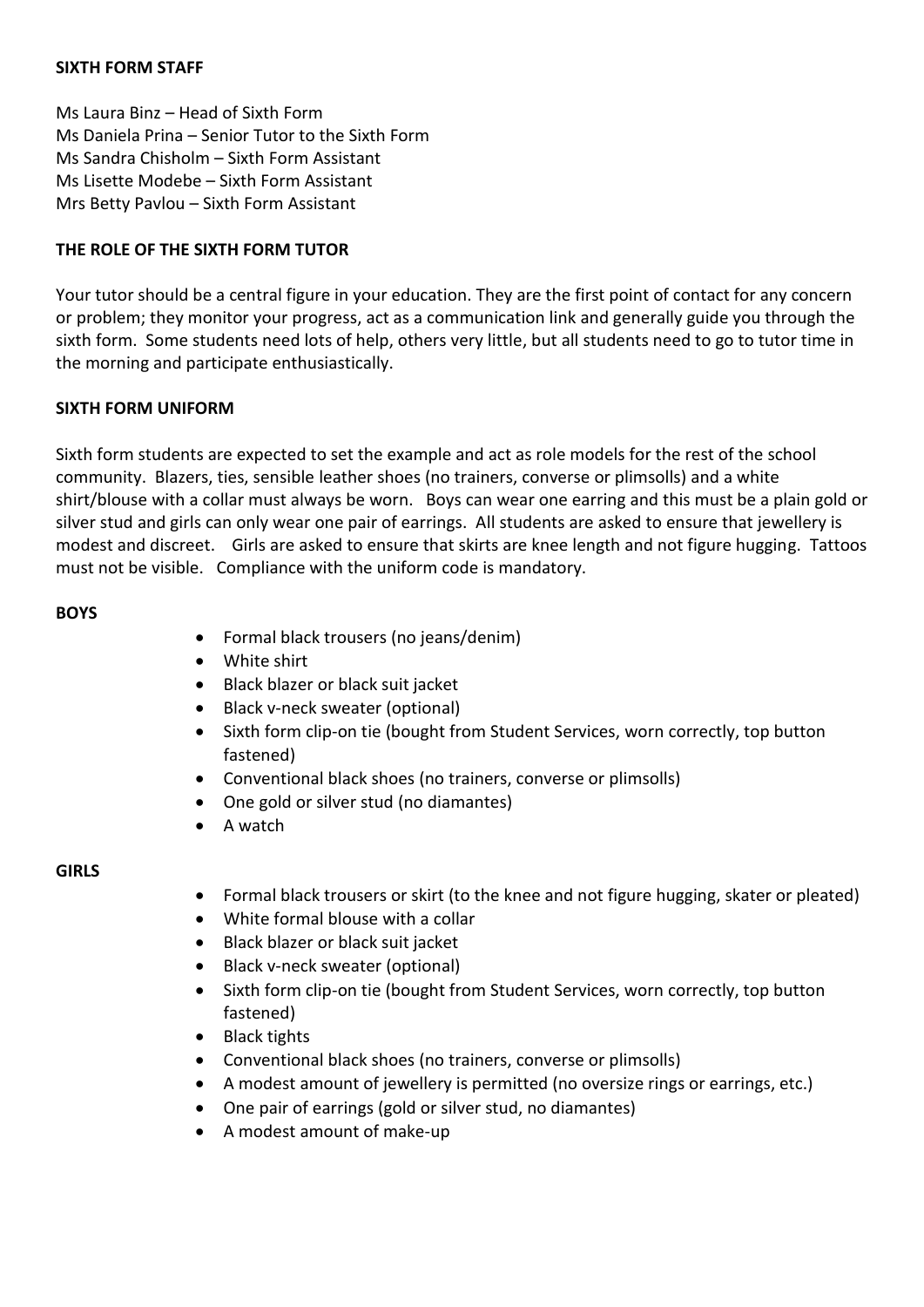## **SIXTH FORM STAFF**

Ms Laura Binz – Head of Sixth Form Ms Daniela Prina – Senior Tutor to the Sixth Form Ms Sandra Chisholm – Sixth Form Assistant Ms Lisette Modebe – Sixth Form Assistant Mrs Betty Pavlou – Sixth Form Assistant

# **THE ROLE OF THE SIXTH FORM TUTOR**

Your tutor should be a central figure in your education. They are the first point of contact for any concern or problem; they monitor your progress, act as a communication link and generally guide you through the sixth form. Some students need lots of help, others very little, but all students need to go to tutor time in the morning and participate enthusiastically.

## **SIXTH FORM UNIFORM**

Sixth form students are expected to set the example and act as role models for the rest of the school community. Blazers, ties, sensible leather shoes (no trainers, converse or plimsolls) and a white shirt/blouse with a collar must always be worn. Boys can wear one earring and this must be a plain gold or silver stud and girls can only wear one pair of earrings. All students are asked to ensure that jewellery is modest and discreet. Girls are asked to ensure that skirts are knee length and not figure hugging. Tattoos must not be visible. Compliance with the uniform code is mandatory.

## **BOYS**

- Formal black trousers (no jeans/denim)
- White shirt
- Black blazer or black suit jacket
- Black v-neck sweater (optional)
- Sixth form clip-on tie (bought from Student Services, worn correctly, top button fastened)
- Conventional black shoes (no trainers, converse or plimsolls)
- One gold or silver stud (no diamantes)
- A watch

## **GIRLS**

- Formal black trousers or skirt (to the knee and not figure hugging, skater or pleated)
- White formal blouse with a collar
- Black blazer or black suit jacket
- Black v-neck sweater (optional)
- Sixth form clip-on tie (bought from Student Services, worn correctly, top button fastened)
- Black tights
- Conventional black shoes (no trainers, converse or plimsolls)
- A modest amount of jewellery is permitted (no oversize rings or earrings, etc.)
- One pair of earrings (gold or silver stud, no diamantes)
- A modest amount of make-up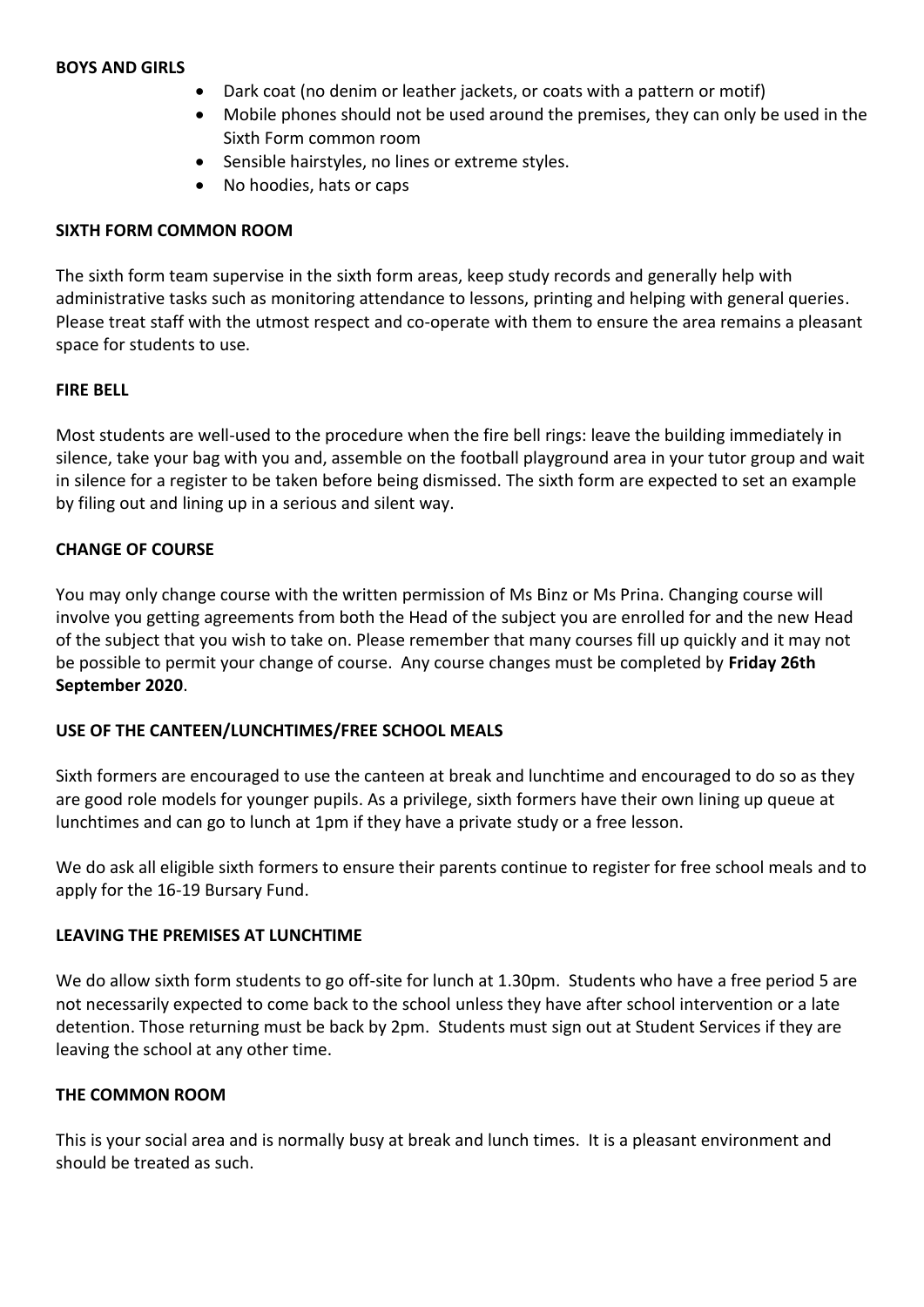#### **BOYS AND GIRLS**

- Dark coat (no denim or leather jackets, or coats with a pattern or motif)
- Mobile phones should not be used around the premises, they can only be used in the Sixth Form common room
- Sensible hairstyles, no lines or extreme styles.
- No hoodies, hats or caps

#### **SIXTH FORM COMMON ROOM**

The sixth form team supervise in the sixth form areas, keep study records and generally help with administrative tasks such as monitoring attendance to lessons, printing and helping with general queries. Please treat staff with the utmost respect and co-operate with them to ensure the area remains a pleasant space for students to use.

#### **FIRE BELL**

Most students are well-used to the procedure when the fire bell rings: leave the building immediately in silence, take your bag with you and, assemble on the football playground area in your tutor group and wait in silence for a register to be taken before being dismissed. The sixth form are expected to set an example by filing out and lining up in a serious and silent way.

## **CHANGE OF COURSE**

You may only change course with the written permission of Ms Binz or Ms Prina. Changing course will involve you getting agreements from both the Head of the subject you are enrolled for and the new Head of the subject that you wish to take on. Please remember that many courses fill up quickly and it may not be possible to permit your change of course. Any course changes must be completed by **Friday 26th September 2020**.

## **USE OF THE CANTEEN/LUNCHTIMES/FREE SCHOOL MEALS**

Sixth formers are encouraged to use the canteen at break and lunchtime and encouraged to do so as they are good role models for younger pupils. As a privilege, sixth formers have their own lining up queue at lunchtimes and can go to lunch at 1pm if they have a private study or a free lesson.

We do ask all eligible sixth formers to ensure their parents continue to register for free school meals and to apply for the 16-19 Bursary Fund.

#### **LEAVING THE PREMISES AT LUNCHTIME**

We do allow sixth form students to go off-site for lunch at 1.30pm. Students who have a free period 5 are not necessarily expected to come back to the school unless they have after school intervention or a late detention. Those returning must be back by 2pm. Students must sign out at Student Services if they are leaving the school at any other time.

## **THE COMMON ROOM**

This is your social area and is normally busy at break and lunch times. It is a pleasant environment and should be treated as such.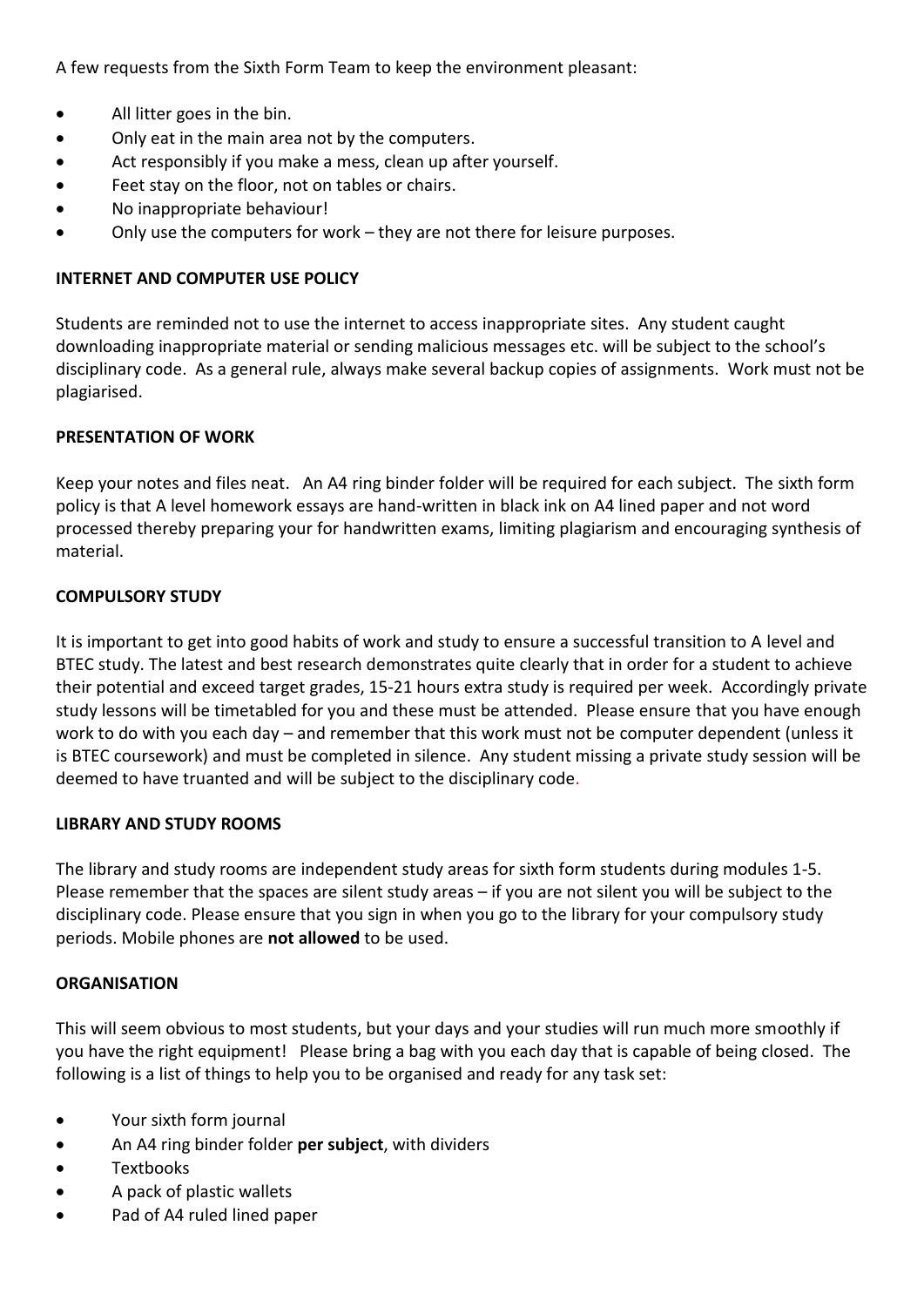A few requests from the Sixth Form Team to keep the environment pleasant:

- All litter goes in the bin.
- Only eat in the main area not by the computers.
- Act responsibly if you make a mess, clean up after yourself.
- Feet stay on the floor, not on tables or chairs.
- No inappropriate behaviour!
- Only use the computers for work they are not there for leisure purposes.

# **INTERNET AND COMPUTER USE POLICY**

Students are reminded not to use the internet to access inappropriate sites. Any student caught downloading inappropriate material or sending malicious messages etc. will be subject to the school's disciplinary code. As a general rule, always make several backup copies of assignments. Work must not be plagiarised.

# **PRESENTATION OF WORK**

Keep your notes and files neat. An A4 ring binder folder will be required for each subject. The sixth form policy is that A level homework essays are hand-written in black ink on A4 lined paper and not word processed thereby preparing your for handwritten exams, limiting plagiarism and encouraging synthesis of material.

# **COMPULSORY STUDY**

It is important to get into good habits of work and study to ensure a successful transition to A level and BTEC study. The latest and best research demonstrates quite clearly that in order for a student to achieve their potential and exceed target grades, 15-21 hours extra study is required per week. Accordingly private study lessons will be timetabled for you and these must be attended. Please ensure that you have enough work to do with you each day – and remember that this work must not be computer dependent (unless it is BTEC coursework) and must be completed in silence. Any student missing a private study session will be deemed to have truanted and will be subject to the disciplinary code.

## **LIBRARY AND STUDY ROOMS**

The library and study rooms are independent study areas for sixth form students during modules 1-5. Please remember that the spaces are silent study areas – if you are not silent you will be subject to the disciplinary code. Please ensure that you sign in when you go to the library for your compulsory study periods. Mobile phones are **not allowed** to be used.

## **ORGANISATION**

This will seem obvious to most students, but your days and your studies will run much more smoothly if you have the right equipment! Please bring a bag with you each day that is capable of being closed. The following is a list of things to help you to be organised and ready for any task set:

- Your sixth form journal
- An A4 ring binder folder **per subject**, with dividers
- Textbooks
- A pack of plastic wallets
- Pad of A4 ruled lined paper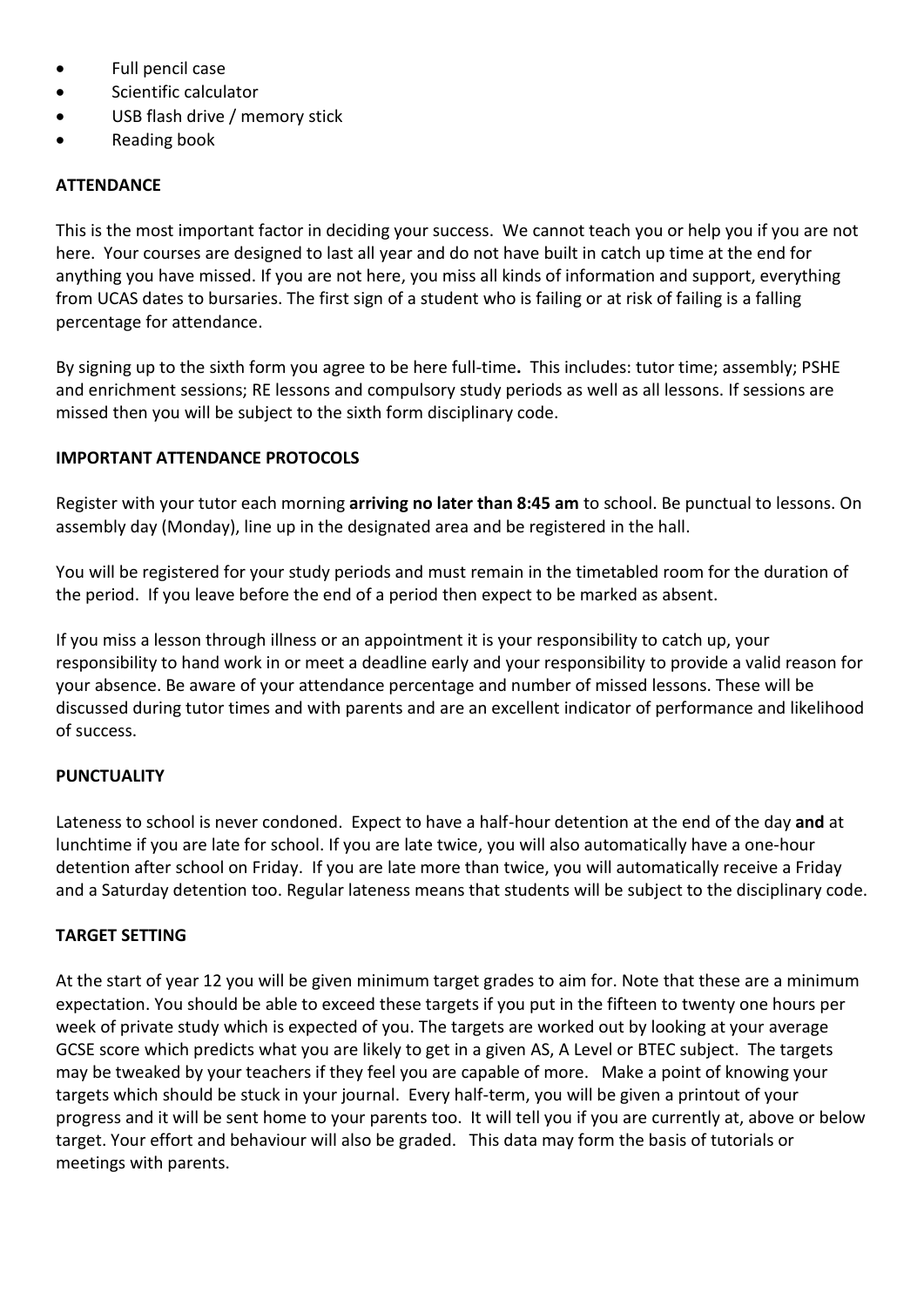- Full pencil case
- Scientific calculator
- USB flash drive / memory stick
- Reading book

# **ATTENDANCE**

This is the most important factor in deciding your success. We cannot teach you or help you if you are not here. Your courses are designed to last all year and do not have built in catch up time at the end for anything you have missed. If you are not here, you miss all kinds of information and support, everything from UCAS dates to bursaries. The first sign of a student who is failing or at risk of failing is a falling percentage for attendance.

By signing up to the sixth form you agree to be here full-time**.** This includes: tutor time; assembly; PSHE and enrichment sessions; RE lessons and compulsory study periods as well as all lessons. If sessions are missed then you will be subject to the sixth form disciplinary code.

# **IMPORTANT ATTENDANCE PROTOCOLS**

Register with your tutor each morning **arriving no later than 8:45 am** to school. Be punctual to lessons. On assembly day (Monday), line up in the designated area and be registered in the hall.

You will be registered for your study periods and must remain in the timetabled room for the duration of the period. If you leave before the end of a period then expect to be marked as absent.

If you miss a lesson through illness or an appointment it is your responsibility to catch up, your responsibility to hand work in or meet a deadline early and your responsibility to provide a valid reason for your absence. Be aware of your attendance percentage and number of missed lessons. These will be discussed during tutor times and with parents and are an excellent indicator of performance and likelihood of success.

# **PUNCTUALITY**

Lateness to school is never condoned. Expect to have a half-hour detention at the end of the day **and** at lunchtime if you are late for school. If you are late twice, you will also automatically have a one-hour detention after school on Friday. If you are late more than twice, you will automatically receive a Friday and a Saturday detention too. Regular lateness means that students will be subject to the disciplinary code.

# **TARGET SETTING**

At the start of year 12 you will be given minimum target grades to aim for. Note that these are a minimum expectation. You should be able to exceed these targets if you put in the fifteen to twenty one hours per week of private study which is expected of you. The targets are worked out by looking at your average GCSE score which predicts what you are likely to get in a given AS, A Level or BTEC subject. The targets may be tweaked by your teachers if they feel you are capable of more. Make a point of knowing your targets which should be stuck in your journal. Every half-term, you will be given a printout of your progress and it will be sent home to your parents too. It will tell you if you are currently at, above or below target. Your effort and behaviour will also be graded. This data may form the basis of tutorials or meetings with parents.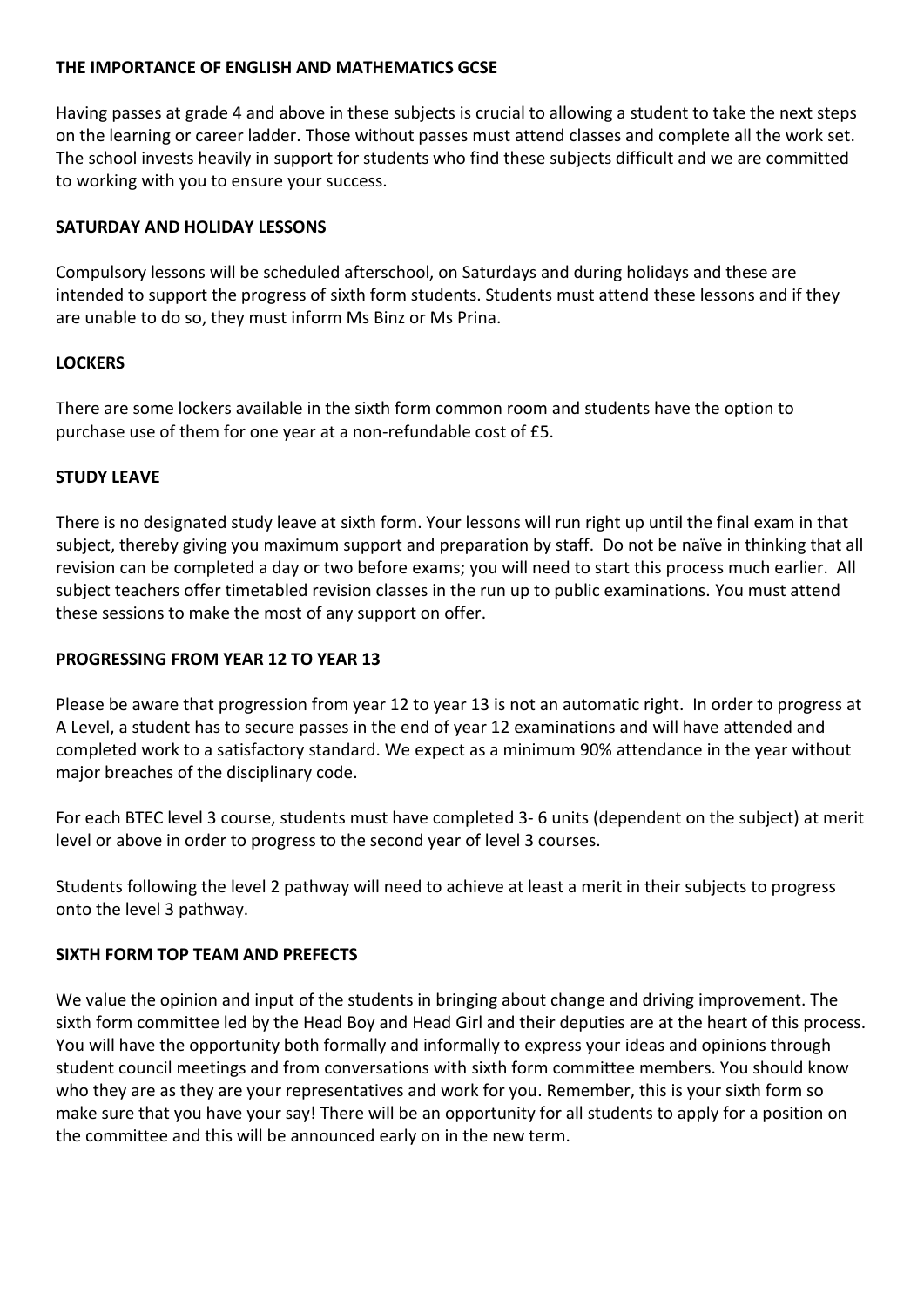# **THE IMPORTANCE OF ENGLISH AND MATHEMATICS GCSE**

Having passes at grade 4 and above in these subjects is crucial to allowing a student to take the next steps on the learning or career ladder. Those without passes must attend classes and complete all the work set. The school invests heavily in support for students who find these subjects difficult and we are committed to working with you to ensure your success.

# **SATURDAY AND HOLIDAY LESSONS**

Compulsory lessons will be scheduled afterschool, on Saturdays and during holidays and these are intended to support the progress of sixth form students. Students must attend these lessons and if they are unable to do so, they must inform Ms Binz or Ms Prina.

# **LOCKERS**

There are some lockers available in the sixth form common room and students have the option to purchase use of them for one year at a non-refundable cost of £5.

# **STUDY LEAVE**

There is no designated study leave at sixth form. Your lessons will run right up until the final exam in that subject, thereby giving you maximum support and preparation by staff. Do not be naïve in thinking that all revision can be completed a day or two before exams; you will need to start this process much earlier. All subject teachers offer timetabled revision classes in the run up to public examinations. You must attend these sessions to make the most of any support on offer.

# **PROGRESSING FROM YEAR 12 TO YEAR 13**

Please be aware that progression from year 12 to year 13 is not an automatic right. In order to progress at A Level, a student has to secure passes in the end of year 12 examinations and will have attended and completed work to a satisfactory standard. We expect as a minimum 90% attendance in the year without major breaches of the disciplinary code.

For each BTEC level 3 course, students must have completed 3- 6 units (dependent on the subject) at merit level or above in order to progress to the second year of level 3 courses.

Students following the level 2 pathway will need to achieve at least a merit in their subjects to progress onto the level 3 pathway.

## **SIXTH FORM TOP TEAM AND PREFECTS**

We value the opinion and input of the students in bringing about change and driving improvement. The sixth form committee led by the Head Boy and Head Girl and their deputies are at the heart of this process. You will have the opportunity both formally and informally to express your ideas and opinions through student council meetings and from conversations with sixth form committee members. You should know who they are as they are your representatives and work for you. Remember, this is your sixth form so make sure that you have your say! There will be an opportunity for all students to apply for a position on the committee and this will be announced early on in the new term.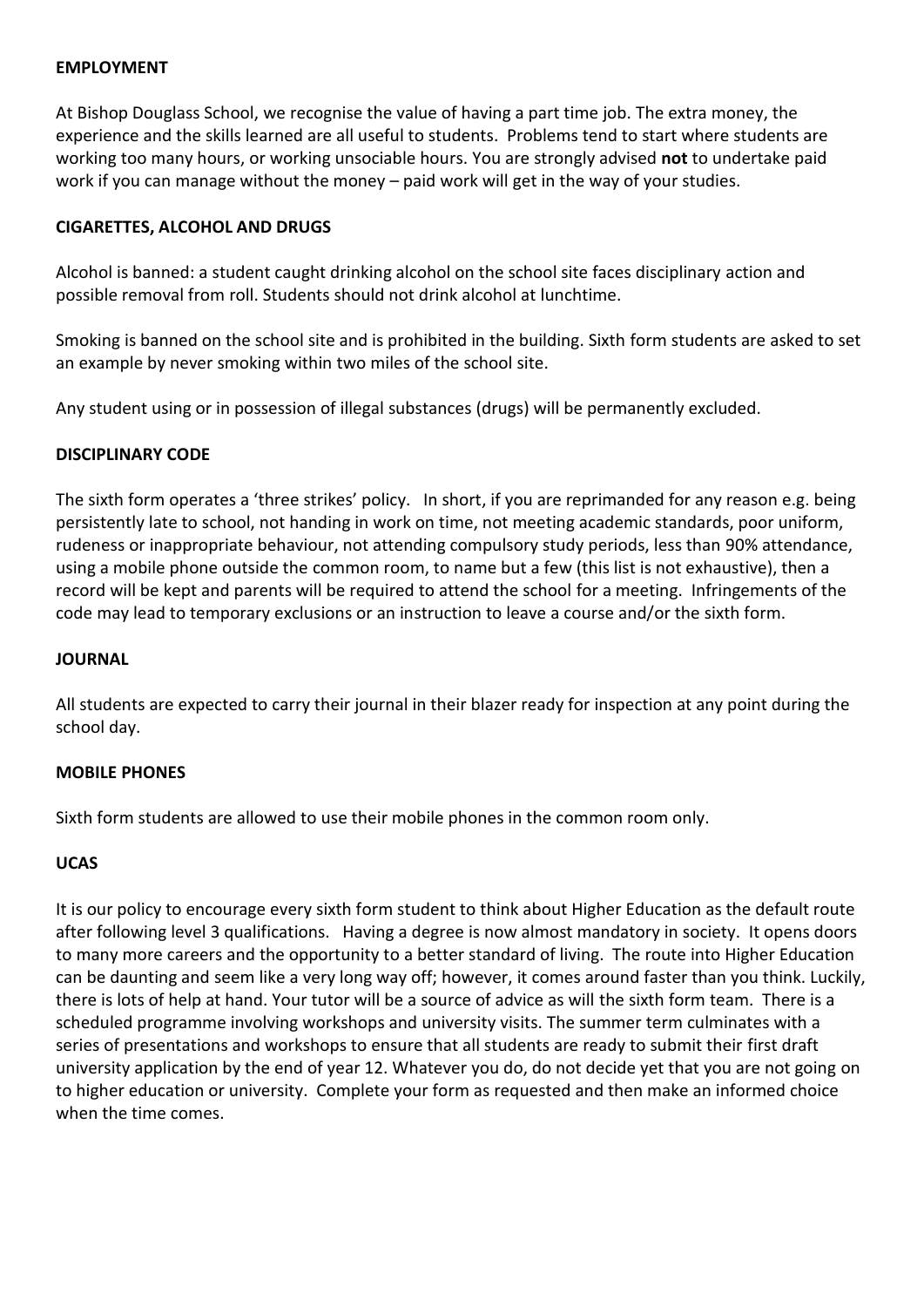#### **EMPLOYMENT**

At Bishop Douglass School, we recognise the value of having a part time job. The extra money, the experience and the skills learned are all useful to students. Problems tend to start where students are working too many hours, or working unsociable hours. You are strongly advised **not** to undertake paid work if you can manage without the money – paid work will get in the way of your studies.

# **CIGARETTES, ALCOHOL AND DRUGS**

Alcohol is banned: a student caught drinking alcohol on the school site faces disciplinary action and possible removal from roll. Students should not drink alcohol at lunchtime.

Smoking is banned on the school site and is prohibited in the building. Sixth form students are asked to set an example by never smoking within two miles of the school site.

Any student using or in possession of illegal substances (drugs) will be permanently excluded.

# **DISCIPLINARY CODE**

The sixth form operates a 'three strikes' policy. In short, if you are reprimanded for any reason e.g. being persistently late to school, not handing in work on time, not meeting academic standards, poor uniform, rudeness or inappropriate behaviour, not attending compulsory study periods, less than 90% attendance, using a mobile phone outside the common room, to name but a few (this list is not exhaustive), then a record will be kept and parents will be required to attend the school for a meeting. Infringements of the code may lead to temporary exclusions or an instruction to leave a course and/or the sixth form.

## **JOURNAL**

All students are expected to carry their journal in their blazer ready for inspection at any point during the school day.

## **MOBILE PHONES**

Sixth form students are allowed to use their mobile phones in the common room only.

# **UCAS**

It is our policy to encourage every sixth form student to think about Higher Education as the default route after following level 3 qualifications. Having a degree is now almost mandatory in society. It opens doors to many more careers and the opportunity to a better standard of living. The route into Higher Education can be daunting and seem like a very long way off; however, it comes around faster than you think. Luckily, there is lots of help at hand. Your tutor will be a source of advice as will the sixth form team. There is a scheduled programme involving workshops and university visits. The summer term culminates with a series of presentations and workshops to ensure that all students are ready to submit their first draft university application by the end of year 12. Whatever you do, do not decide yet that you are not going on to higher education or university. Complete your form as requested and then make an informed choice when the time comes.